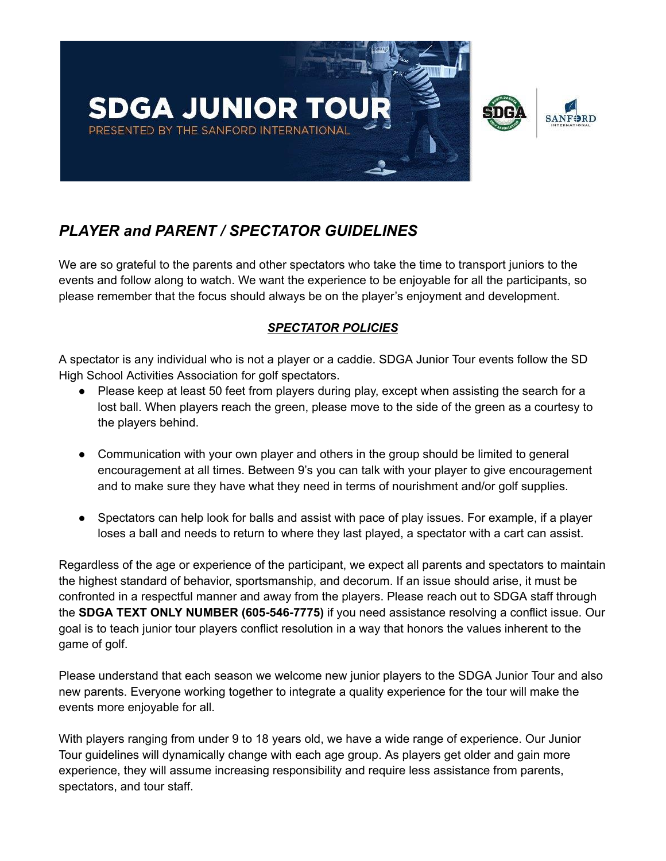

# *PLAYER and PARENT / SPECTATOR GUIDELINES*

We are so grateful to the parents and other spectators who take the time to transport juniors to the events and follow along to watch. We want the experience to be enjoyable for all the participants, so please remember that the focus should always be on the player's enjoyment and development.

## *SPECTATOR POLICIES*

A spectator is any individual who is not a player or a caddie. SDGA Junior Tour events follow the SD High School Activities Association for golf spectators.

- Please keep at least 50 feet from players during play, except when assisting the search for a lost ball. When players reach the green, please move to the side of the green as a courtesy to the players behind.
- Communication with your own player and others in the group should be limited to general encouragement at all times. Between 9's you can talk with your player to give encouragement and to make sure they have what they need in terms of nourishment and/or golf supplies.
- Spectators can help look for balls and assist with pace of play issues. For example, if a player loses a ball and needs to return to where they last played, a spectator with a cart can assist.

Regardless of the age or experience of the participant, we expect all parents and spectators to maintain the highest standard of behavior, sportsmanship, and decorum. If an issue should arise, it must be confronted in a respectful manner and away from the players. Please reach out to SDGA staff through the **SDGA TEXT ONLY NUMBER (605-546-7775)** if you need assistance resolving a conflict issue. Our goal is to teach junior tour players conflict resolution in a way that honors the values inherent to the game of golf.

Please understand that each season we welcome new junior players to the SDGA Junior Tour and also new parents. Everyone working together to integrate a quality experience for the tour will make the events more enjoyable for all.

With players ranging from under 9 to 18 years old, we have a wide range of experience. Our Junior Tour guidelines will dynamically change with each age group. As players get older and gain more experience, they will assume increasing responsibility and require less assistance from parents, spectators, and tour staff.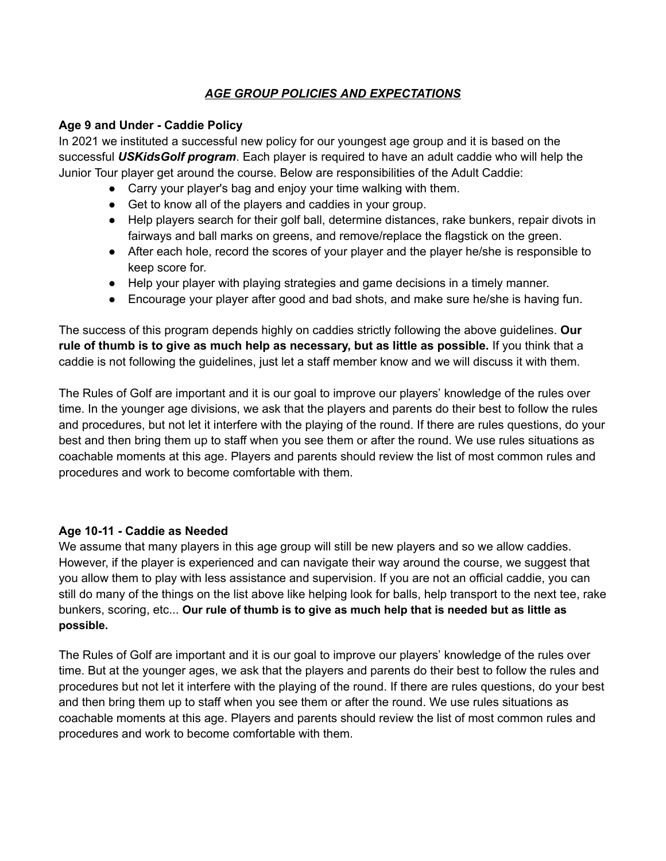## *AGE GROUP POLICIES AND EXPECTATIONS*

#### **Age 9 and Under - Caddie Policy**

In 2021 we instituted a successful new policy for our youngest age group and it is based on the successful *USKidsGolf program*. Each player is required to have an adult caddie who will help the Junior Tour player get around the course. Below are responsibilities of the Adult Caddie:

- Carry your player's bag and enjoy your time walking with them.
- Get to know all of the players and caddies in your group.
- Help players search for their golf ball, determine distances, rake bunkers, repair divots in fairways and ball marks on greens, and remove/replace the flagstick on the green.
- After each hole, record the scores of your player and the player he/she is responsible to keep score for.
- Help your player with playing strategies and game decisions in a timely manner.
- Encourage your player after good and bad shots, and make sure he/she is having fun.

The success of this program depends highly on caddies strictly following the above guidelines. **Our rule of thumb is to give as much help as necessary, but as little as possible.** If you think that a caddie is not following the guidelines, just let a staff member know and we will discuss it with them.

The Rules of Golf are important and it is our goal to improve our players' knowledge of the rules over time. In the younger age divisions, we ask that the players and parents do their best to follow the rules and procedures, but not let it interfere with the playing of the round. If there are rules questions, do your best and then bring them up to staff when you see them or after the round. We use rules situations as coachable moments at this age. Players and parents should review the list of most common rules and procedures and work to become comfortable with them.

## **Age 10-11 - Caddie as Needed**

We assume that many players in this age group will still be new players and so we allow caddies. However, if the player is experienced and can navigate their way around the course, we suggest that you allow them to play with less assistance and supervision. If you are not an official caddie, you can still do many of the things on the list above like helping look for balls, help transport to the next tee, rake bunkers, scoring, etc... **Our rule of thumb is to give as much help that is needed but as little as possible.**

The Rules of Golf are important and it is our goal to improve our players' knowledge of the rules over time. But at the younger ages, we ask that the players and parents do their best to follow the rules and procedures but not let it interfere with the playing of the round. If there are rules questions, do your best and then bring them up to staff when you see them or after the round. We use rules situations as coachable moments at this age. Players and parents should review the list of most common rules and procedures and work to become comfortable with them.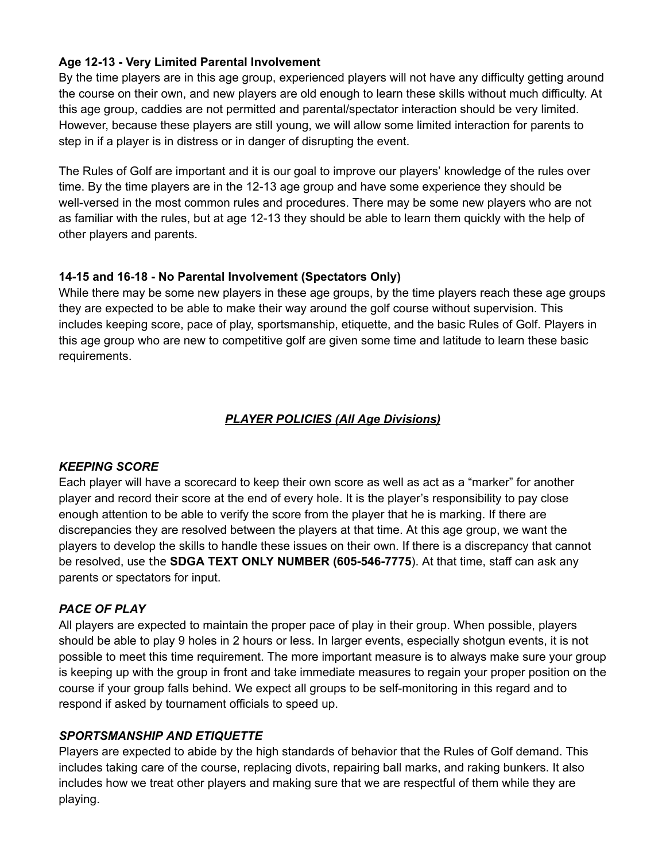### **Age 12-13 - Very Limited Parental Involvement**

By the time players are in this age group, experienced players will not have any difficulty getting around the course on their own, and new players are old enough to learn these skills without much difficulty. At this age group, caddies are not permitted and parental/spectator interaction should be very limited. However, because these players are still young, we will allow some limited interaction for parents to step in if a player is in distress or in danger of disrupting the event.

The Rules of Golf are important and it is our goal to improve our players' knowledge of the rules over time. By the time players are in the 12-13 age group and have some experience they should be well-versed in the most common rules and procedures. There may be some new players who are not as familiar with the rules, but at age 12-13 they should be able to learn them quickly with the help of other players and parents.

#### **14-15 and 16-18 - No Parental Involvement (Spectators Only)**

While there may be some new players in these age groups, by the time players reach these age groups they are expected to be able to make their way around the golf course without supervision. This includes keeping score, pace of play, sportsmanship, etiquette, and the basic Rules of Golf. Players in this age group who are new to competitive golf are given some time and latitude to learn these basic requirements.

## *PLAYER POLICIES (All Age Divisions)*

#### *KEEPING SCORE*

Each player will have a scorecard to keep their own score as well as act as a "marker" for another player and record their score at the end of every hole. It is the player's responsibility to pay close enough attention to be able to verify the score from the player that he is marking. If there are discrepancies they are resolved between the players at that time. At this age group, we want the players to develop the skills to handle these issues on their own. If there is a discrepancy that cannot be resolved, use the **SDGA TEXT ONLY NUMBER (605-546-7775**). At that time, staff can ask any parents or spectators for input.

#### *PACE OF PLAY*

All players are expected to maintain the proper pace of play in their group. When possible, players should be able to play 9 holes in 2 hours or less. In larger events, especially shotgun events, it is not possible to meet this time requirement. The more important measure is to always make sure your group is keeping up with the group in front and take immediate measures to regain your proper position on the course if your group falls behind. We expect all groups to be self-monitoring in this regard and to respond if asked by tournament officials to speed up.

#### *SPORTSMANSHIP AND ETIQUETTE*

Players are expected to abide by the high standards of behavior that the Rules of Golf demand. This includes taking care of the course, replacing divots, repairing ball marks, and raking bunkers. It also includes how we treat other players and making sure that we are respectful of them while they are playing.